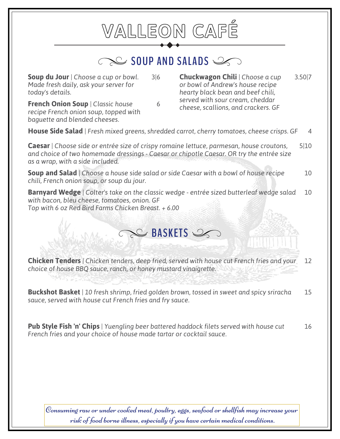## **VALLEON CAFÉ** SOUP AND SALADS **Soup du Jour** *| Choose a cup or bowl.* 3|6 *Made fresh daily, ask your server for today's details.* **Chuckwagon Chili** | Choose a cup 3.50|7 *or bowl of Andrew's house recipe hearty black bean and beef chili, served with sour cream, cheddar* **French Onion Soup** | Classic house 6 **French Onion Soup** | Classic house 6 **6 French Onion Soup** *cheese, scallions, and crackers. GF recipe French onion soup, topped with baguette and blended cheeses.* **House Side Salad** *| Fresh mixed greens, shredded carrot, cherry tomatoes, cheese crisps. GF* 4 **Caesar** *| Choose side or entrée size of crispy romaine lettuce, parmesan, house croutons,* 5|10 *and choice of two homemade dressings - Caesar or chipotle Caesar. OR try the entrée size as a wrap, with a side included.* **Soup and Salad** | Choose a house side salad or side Caesar with a bowl of house recipe 10 *chili, French onion soup, or soup du jour.* **Barnyard Wedge** | Colter's take on the classic wedge - entrée sized butterleaf wedge salad 10 *with bacon, bleu cheese, tomatoes, onion. GF Top with 6 oz Red Bird Farms Chicken Breast. + 6.00*

**Chicken Tenders** *| Chicken tenders, deep fried, served with house cut French fries and your* 12 *choice of house BBQ sauce, ranch, or honey mustard vinaigrette.*

**BASKETS** 

**Buckshot Basket** *| 10 fresh shrimp, fried golden brown, tossed in sweet and spicy sriracha* 15 *sauce, served with house cut French fries and fry sauce.*

**Pub Style Fish 'n' Chips** *| Yuengling beer battered haddock filets served with house cut* 16 *French fries and your choice of house made tartar or cocktail sauce.*

Consuming raw or under cooked meat, poultry, eggs, seafood or shellfish may increase your risk of food borne illness, especially if you have certain medical conditions.